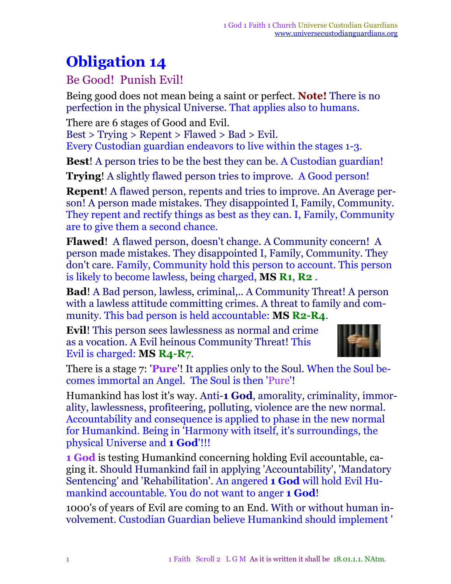## **Obligation 14**

## Be Good! Punish Evil!

Being good does not mean being a saint or perfect. **Note!** There is no perfection in the physical Universe. That applies also to humans.

There are 6 stages of Good and Evil.

Best > Trying > Repent > Flawed > Bad > Evil.

Every Custodian guardian endeavors to live within the stages 1-3.

**Best**! A person tries to be the best they can be. A Custodian guardian!

**Trying!** A slightly flawed person tries to improve. A Good person!

**Repent**! A flawed person, repents and tries to improve. An Average person! A person made mistakes. They disappointed I, Family, Community. They repent and rectify things as best as they can. I, Family, Community are to give them a second chance.

**Flawed**! A flawed person, doesn't change. A Community concern! A person made mistakes. They disappointed I, Family, Community. They don't care. Family, Community hold this person to account. This person is likely to become lawless, being charged, **MS R1**, **R2** .

**Bad**! A Bad person, lawless, criminal,.. A Community Threat! A person with a lawless attitude committing crimes. A threat to family and community. This bad person is held accountable: **MS R2-R4**.

**Evil**! This person sees lawlessness as normal and crime as a vocation. A Evil heinous Community Threat! This Evil is charged: **MS R4-R7**.



There is a stage 7: '**Pure**'! It applies only to the Soul. When the Soul becomes immortal an Angel. The Soul is then 'Pure'!

Humankind has lost it's way. Anti-**1 God**, amorality, criminality, immorality, lawlessness, profiteering, polluting, violence are the new normal. Accountability and consequence is applied to phase in the new normal for Humankind. Being in 'Harmony with itself, it's surroundings, the physical Universe and **1 God**'!!!

**1 God** is testing Humankind concerning holding Evil accountable, caging it. Should Humankind fail in applying 'Accountability', 'Mandatory Sentencing' and 'Rehabilitation'. An angered **1 God** will hold Evil Humankind accountable. You do not want to anger **1 God**!

1000's of years of Evil are coming to an End. With or without human involvement. Custodian Guardian believe Humankind should implement '